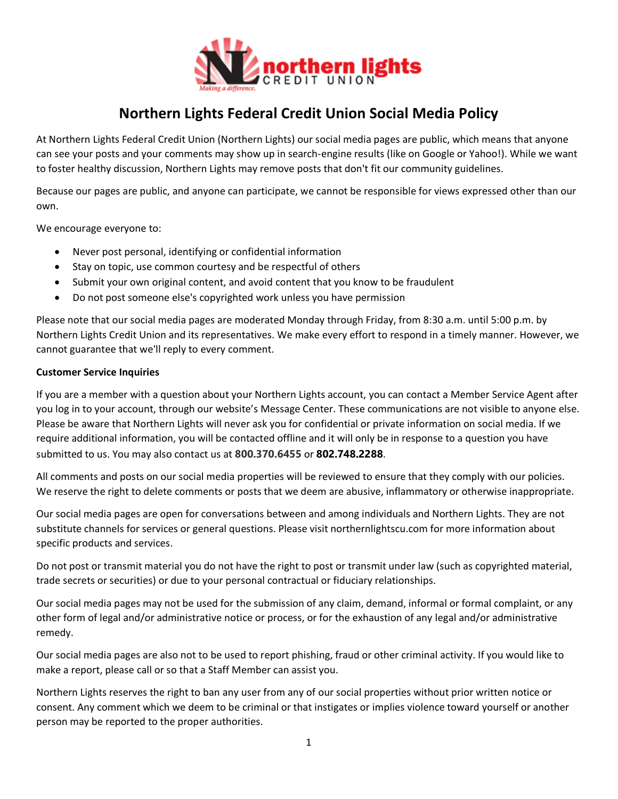

# **Northern Lights Federal Credit Union Social Media Policy**

At Northern Lights Federal Credit Union (Northern Lights) our social media pages are public, which means that anyone can see your posts and your comments may show up in search-engine results (like on Google or Yahoo!). While we want to foster healthy discussion, Northern Lights may remove posts that don't fit our community guidelines.

Because our pages are public, and anyone can participate, we cannot be responsible for views expressed other than our own.

We encourage everyone to:

- Never post personal, identifying or confidential information
- Stay on topic, use common courtesy and be respectful of others
- Submit your own original content, and avoid content that you know to be fraudulent
- Do not post someone else's copyrighted work unless you have permission

Please note that our social media pages are moderated Monday through Friday, from 8:30 a.m. until 5:00 p.m. by Northern Lights Credit Union and its representatives. We make every effort to respond in a timely manner. However, we cannot guarantee that we'll reply to every comment.

#### **Customer Service Inquiries**

If you are a member with a question about your Northern Lights account, you can contact a Member Service Agent after you log in to your account, through our website's Message Center. These communications are not visible to anyone else. Please be aware that Northern Lights will never ask you for confidential or private information on social media. If we require additional information, you will be contacted offline and it will only be in response to a question you have submitted to us. You may also contact us at **800.370.6455** or **802.748.2288**.

All comments and posts on our social media properties will be reviewed to ensure that they comply with our policies. We reserve the right to delete comments or posts that we deem are abusive, inflammatory or otherwise inappropriate.

Our social media pages are open for conversations between and among individuals and Northern Lights. They are not substitute channels for services or general questions. Please visit northernlightscu.com for more information about specific products and services.

Do not post or transmit material you do not have the right to post or transmit under law (such as copyrighted material, trade secrets or securities) or due to your personal contractual or fiduciary relationships.

Our social media pages may not be used for the submission of any claim, demand, informal or formal complaint, or any other form of legal and/or administrative notice or process, or for the exhaustion of any legal and/or administrative remedy.

Our social media pages are also not to be used to report phishing, fraud or other criminal activity. If you would like to make a report, please call or so that a Staff Member can assist you.

Northern Lights reserves the right to ban any user from any of our social properties without prior written notice or consent. Any comment which we deem to be criminal or that instigates or implies violence toward yourself or another person may be reported to the proper authorities.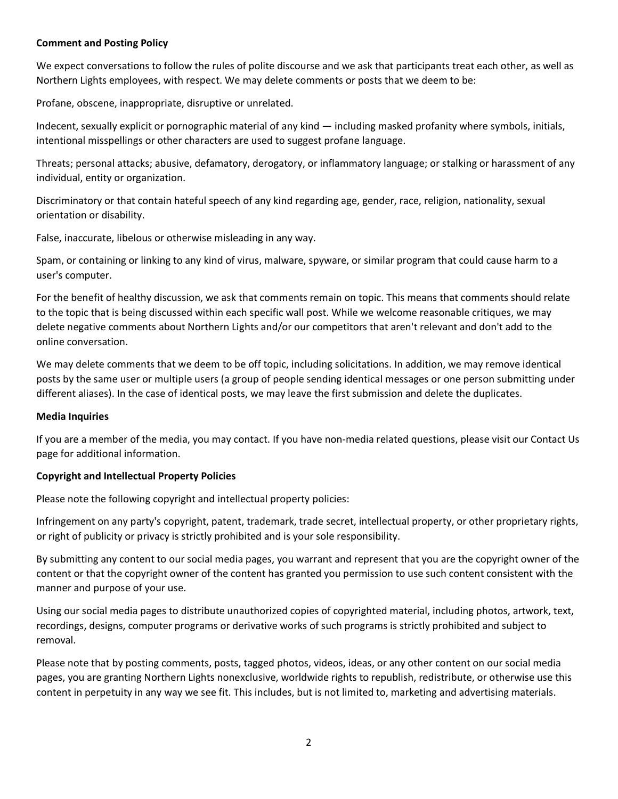## **Comment and Posting Policy**

We expect conversations to follow the rules of polite discourse and we ask that participants treat each other, as well as Northern Lights employees, with respect. We may delete comments or posts that we deem to be:

Profane, obscene, inappropriate, disruptive or unrelated.

Indecent, sexually explicit or pornographic material of any kind — including masked profanity where symbols, initials, intentional misspellings or other characters are used to suggest profane language.

Threats; personal attacks; abusive, defamatory, derogatory, or inflammatory language; or stalking or harassment of any individual, entity or organization.

Discriminatory or that contain hateful speech of any kind regarding age, gender, race, religion, nationality, sexual orientation or disability.

False, inaccurate, libelous or otherwise misleading in any way.

Spam, or containing or linking to any kind of virus, malware, spyware, or similar program that could cause harm to a user's computer.

For the benefit of healthy discussion, we ask that comments remain on topic. This means that comments should relate to the topic that is being discussed within each specific wall post. While we welcome reasonable critiques, we may delete negative comments about Northern Lights and/or our competitors that aren't relevant and don't add to the online conversation.

We may delete comments that we deem to be off topic, including solicitations. In addition, we may remove identical posts by the same user or multiple users (a group of people sending identical messages or one person submitting under different aliases). In the case of identical posts, we may leave the first submission and delete the duplicates.

#### **Media Inquiries**

If you are a member of the media, you may contact. If you have non-media related questions, please visit our Contact Us page for additional information.

#### **Copyright and Intellectual Property Policies**

Please note the following copyright and intellectual property policies:

Infringement on any party's copyright, patent, trademark, trade secret, intellectual property, or other proprietary rights, or right of publicity or privacy is strictly prohibited and is your sole responsibility.

By submitting any content to our social media pages, you warrant and represent that you are the copyright owner of the content or that the copyright owner of the content has granted you permission to use such content consistent with the manner and purpose of your use.

Using our social media pages to distribute unauthorized copies of copyrighted material, including photos, artwork, text, recordings, designs, computer programs or derivative works of such programs is strictly prohibited and subject to removal.

Please note that by posting comments, posts, tagged photos, videos, ideas, or any other content on our social media pages, you are granting Northern Lights nonexclusive, worldwide rights to republish, redistribute, or otherwise use this content in perpetuity in any way we see fit. This includes, but is not limited to, marketing and advertising materials.